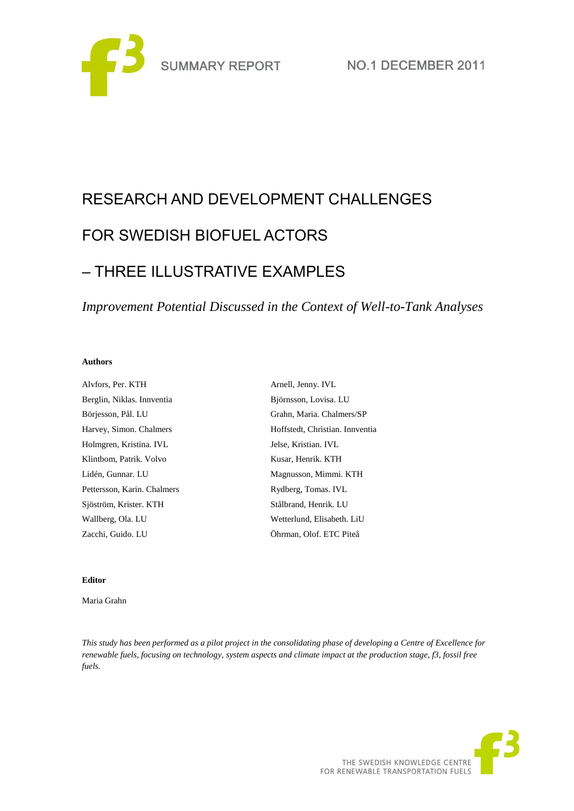

# RESEARCH AND DEVELOPMENT CHALLENGES FOR SWEDISH BIOFUEL ACTORS – THREE ILLUSTRATIVE EXAMPLES

*Improvement Potential Discussed in the Context of Well-to-Tank Analyses*

#### **Authors**

| Alvfors, Per. KTH           | Arnell, Jenny. IVL              |
|-----------------------------|---------------------------------|
| Berglin, Niklas. Innventia  | Björnsson, Lovisa. LU           |
| Börjesson, Pål. LU          | Grahn, Maria. Chalmers/SP       |
| Harvey, Simon. Chalmers     | Hoffstedt, Christian. Innventia |
| Holmgren, Kristina. IVL     | Jelse, Kristian. IVL            |
| Klintbom, Patrik. Volvo     | Kusar, Henrik. KTH              |
| Lidén, Gunnar. LU           | Magnusson, Mimmi. KTH           |
| Pettersson, Karin. Chalmers | Rydberg, Tomas. IVL             |
| Sjöström, Krister. KTH      | Stålbrand, Henrik. LU           |
| Wallberg, Ola. LU           | Wetterlund, Elisabeth. LiU      |
| Zacchi, Guido. LU           | Öhrman, Olof. ETC Piteå         |

## **Editor**

Maria Grahn

*This study has been performed as a pilot project in the consolidating phase of developing a Centre of Excellence for renewable fuels, focusing on technology, system aspects and climate impact at the production stage, f3, fossil free fuels.*

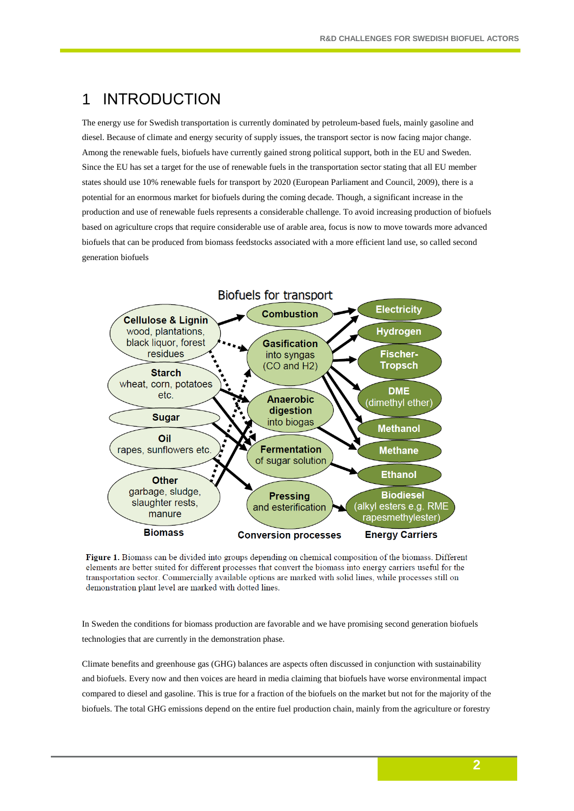# 1 INTRODUCTION

The energy use for Swedish transportation is currently dominated by petroleum-based fuels, mainly gasoline and diesel. Because of climate and energy security of supply issues, the transport sector is now facing major change. Among the renewable fuels, biofuels have currently gained strong political support, both in the EU and Sweden. Since the EU has set a target for the use of renewable fuels in the transportation sector stating that all EU member states should use 10% renewable fuels for transport by 2020 (European Parliament and Council, 2009), there is a potential for an enormous market for biofuels during the coming decade. Though, a significant increase in the production and use of renewable fuels represents a considerable challenge. To avoid increasing production of biofuels based on agriculture crops that require considerable use of arable area, focus is now to move towards more advanced biofuels that can be produced from biomass feedstocks associated with a more efficient land use, so called second generation biofuels



Figure 1. Biomass can be divided into groups depending on chemical composition of the biomass. Different elements are better suited for different processes that convert the biomass into energy carriers useful for the transportation sector. Commercially available options are marked with solid lines, while processes still on demonstration plant level are marked with dotted lines.

In Sweden the conditions for biomass production are favorable and we have promising second generation biofuels technologies that are currently in the demonstration phase.

Climate benefits and greenhouse gas (GHG) balances are aspects often discussed in conjunction with sustainability and biofuels. Every now and then voices are heard in media claiming that biofuels have worse environmental impact compared to diesel and gasoline. This is true for a fraction of the biofuels on the market but not for the majority of the biofuels. The total GHG emissions depend on the entire fuel production chain, mainly from the agriculture or forestry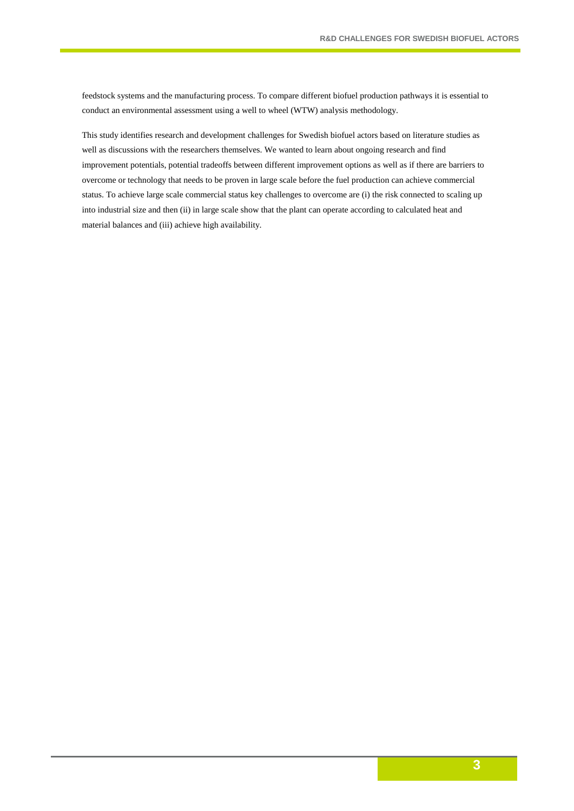feedstock systems and the manufacturing process. To compare different biofuel production pathways it is essential to conduct an environmental assessment using a well to wheel (WTW) analysis methodology.

This study identifies research and development challenges for Swedish biofuel actors based on literature studies as well as discussions with the researchers themselves. We wanted to learn about ongoing research and find improvement potentials, potential tradeoffs between different improvement options as well as if there are barriers to overcome or technology that needs to be proven in large scale before the fuel production can achieve commercial status. To achieve large scale commercial status key challenges to overcome are (i) the risk connected to scaling up into industrial size and then (ii) in large scale show that the plant can operate according to calculated heat and material balances and (iii) achieve high availability.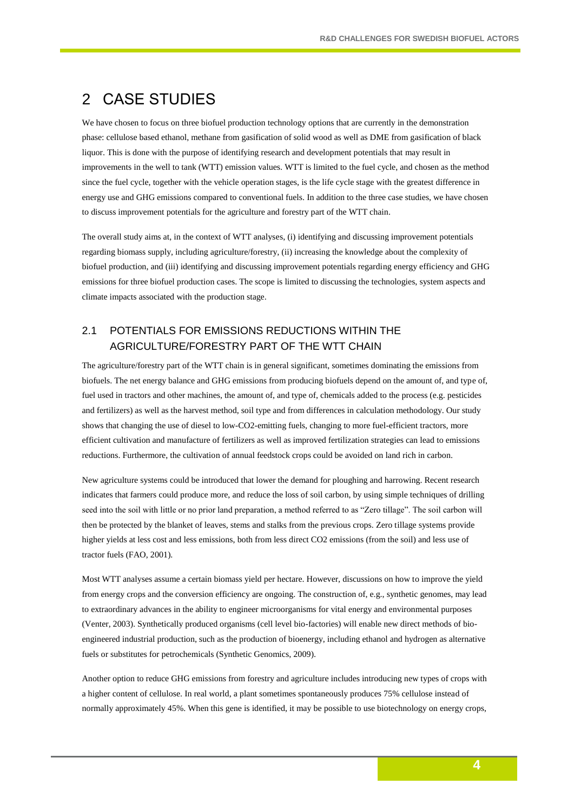## 2 CASE STUDIES

We have chosen to focus on three biofuel production technology options that are currently in the demonstration phase: cellulose based ethanol, methane from gasification of solid wood as well as DME from gasification of black liquor. This is done with the purpose of identifying research and development potentials that may result in improvements in the well to tank (WTT) emission values. WTT is limited to the fuel cycle, and chosen as the method since the fuel cycle, together with the vehicle operation stages, is the life cycle stage with the greatest difference in energy use and GHG emissions compared to conventional fuels. In addition to the three case studies, we have chosen to discuss improvement potentials for the agriculture and forestry part of the WTT chain.

The overall study aims at, in the context of WTT analyses, (i) identifying and discussing improvement potentials regarding biomass supply, including agriculture/forestry, (ii) increasing the knowledge about the complexity of biofuel production, and (iii) identifying and discussing improvement potentials regarding energy efficiency and GHG emissions for three biofuel production cases. The scope is limited to discussing the technologies, system aspects and climate impacts associated with the production stage.

## 2.1 POTENTIALS FOR EMISSIONS REDUCTIONS WITHIN THE AGRICULTURE/FORESTRY PART OF THE WTT CHAIN

The agriculture/forestry part of the WTT chain is in general significant, sometimes dominating the emissions from biofuels. The net energy balance and GHG emissions from producing biofuels depend on the amount of, and type of, fuel used in tractors and other machines, the amount of, and type of, chemicals added to the process (e.g. pesticides and fertilizers) as well as the harvest method, soil type and from differences in calculation methodology. Our study shows that changing the use of diesel to low-CO2-emitting fuels, changing to more fuel-efficient tractors, more efficient cultivation and manufacture of fertilizers as well as improved fertilization strategies can lead to emissions reductions. Furthermore, the cultivation of annual feedstock crops could be avoided on land rich in carbon.

New agriculture systems could be introduced that lower the demand for ploughing and harrowing. Recent research indicates that farmers could produce more, and reduce the loss of soil carbon, by using simple techniques of drilling seed into the soil with little or no prior land preparation, a method referred to as "Zero tillage". The soil carbon will then be protected by the blanket of leaves, stems and stalks from the previous crops. Zero tillage systems provide higher yields at less cost and less emissions, both from less direct CO2 emissions (from the soil) and less use of tractor fuels (FAO, 2001).

Most WTT analyses assume a certain biomass yield per hectare. However, discussions on how to improve the yield from energy crops and the conversion efficiency are ongoing. The construction of, e.g., synthetic genomes, may lead to extraordinary advances in the ability to engineer microorganisms for vital energy and environmental purposes (Venter, 2003). Synthetically produced organisms (cell level bio-factories) will enable new direct methods of bioengineered industrial production, such as the production of bioenergy, including ethanol and hydrogen as alternative fuels or substitutes for petrochemicals (Synthetic Genomics, 2009).

Another option to reduce GHG emissions from forestry and agriculture includes introducing new types of crops with a higher content of cellulose. In real world, a plant sometimes spontaneously produces 75% cellulose instead of normally approximately 45%. When this gene is identified, it may be possible to use biotechnology on energy crops,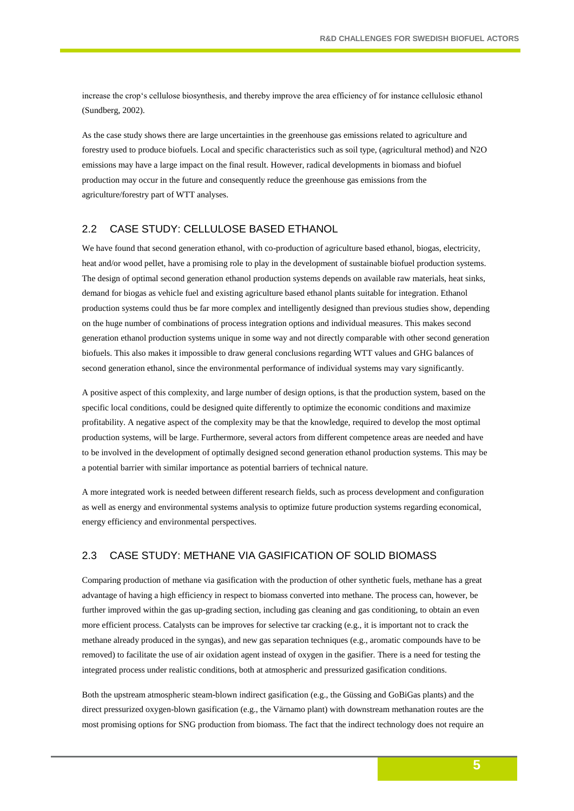increase the crop's cellulose biosynthesis, and thereby improve the area efficiency of for instance cellulosic ethanol (Sundberg, 2002).

As the case study shows there are large uncertainties in the greenhouse gas emissions related to agriculture and forestry used to produce biofuels. Local and specific characteristics such as soil type, (agricultural method) and N2O emissions may have a large impact on the final result. However, radical developments in biomass and biofuel production may occur in the future and consequently reduce the greenhouse gas emissions from the agriculture/forestry part of WTT analyses.

## 2.2 CASE STUDY: CELLULOSE BASED ETHANOL

We have found that second generation ethanol, with co-production of agriculture based ethanol, biogas, electricity, heat and/or wood pellet, have a promising role to play in the development of sustainable biofuel production systems. The design of optimal second generation ethanol production systems depends on available raw materials, heat sinks, demand for biogas as vehicle fuel and existing agriculture based ethanol plants suitable for integration. Ethanol production systems could thus be far more complex and intelligently designed than previous studies show, depending on the huge number of combinations of process integration options and individual measures. This makes second generation ethanol production systems unique in some way and not directly comparable with other second generation biofuels. This also makes it impossible to draw general conclusions regarding WTT values and GHG balances of second generation ethanol, since the environmental performance of individual systems may vary significantly.

A positive aspect of this complexity, and large number of design options, is that the production system, based on the specific local conditions, could be designed quite differently to optimize the economic conditions and maximize profitability. A negative aspect of the complexity may be that the knowledge, required to develop the most optimal production systems, will be large. Furthermore, several actors from different competence areas are needed and have to be involved in the development of optimally designed second generation ethanol production systems. This may be a potential barrier with similar importance as potential barriers of technical nature.

A more integrated work is needed between different research fields, such as process development and configuration as well as energy and environmental systems analysis to optimize future production systems regarding economical, energy efficiency and environmental perspectives.

## 2.3 CASE STUDY: METHANE VIA GASIFICATION OF SOLID BIOMASS

Comparing production of methane via gasification with the production of other synthetic fuels, methane has a great advantage of having a high efficiency in respect to biomass converted into methane. The process can, however, be further improved within the gas up-grading section, including gas cleaning and gas conditioning, to obtain an even more efficient process. Catalysts can be improves for selective tar cracking (e.g., it is important not to crack the methane already produced in the syngas), and new gas separation techniques (e.g., aromatic compounds have to be removed) to facilitate the use of air oxidation agent instead of oxygen in the gasifier. There is a need for testing the integrated process under realistic conditions, both at atmospheric and pressurized gasification conditions.

Both the upstream atmospheric steam-blown indirect gasification (e.g., the Güssing and GoBiGas plants) and the direct pressurized oxygen-blown gasification (e.g., the Värnamo plant) with downstream methanation routes are the most promising options for SNG production from biomass. The fact that the indirect technology does not require an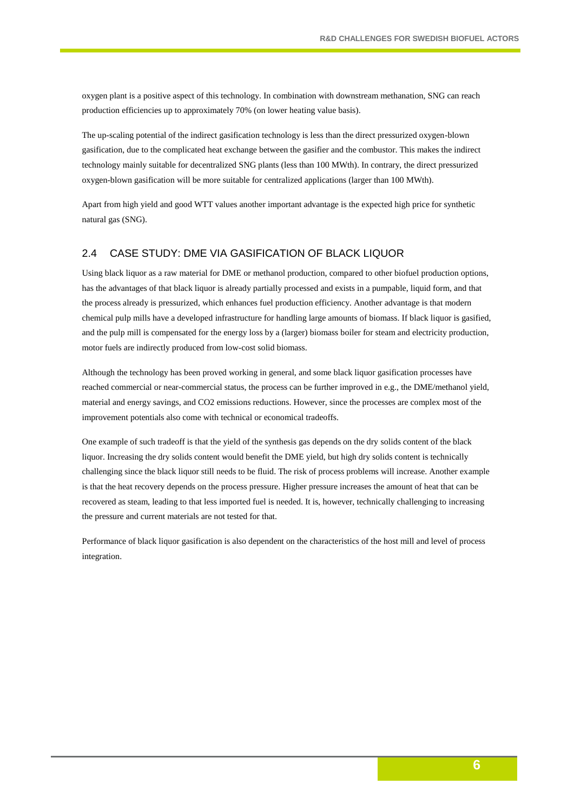oxygen plant is a positive aspect of this technology. In combination with downstream methanation, SNG can reach production efficiencies up to approximately 70% (on lower heating value basis).

The up-scaling potential of the indirect gasification technology is less than the direct pressurized oxygen-blown gasification, due to the complicated heat exchange between the gasifier and the combustor. This makes the indirect technology mainly suitable for decentralized SNG plants (less than 100 MWth). In contrary, the direct pressurized oxygen-blown gasification will be more suitable for centralized applications (larger than 100 MWth).

Apart from high yield and good WTT values another important advantage is the expected high price for synthetic natural gas (SNG).

### 2.4 CASE STUDY: DME VIA GASIFICATION OF BLACK LIQUOR

Using black liquor as a raw material for DME or methanol production, compared to other biofuel production options, has the advantages of that black liquor is already partially processed and exists in a pumpable, liquid form, and that the process already is pressurized, which enhances fuel production efficiency. Another advantage is that modern chemical pulp mills have a developed infrastructure for handling large amounts of biomass. If black liquor is gasified, and the pulp mill is compensated for the energy loss by a (larger) biomass boiler for steam and electricity production, motor fuels are indirectly produced from low-cost solid biomass.

Although the technology has been proved working in general, and some black liquor gasification processes have reached commercial or near-commercial status, the process can be further improved in e.g., the DME/methanol yield, material and energy savings, and CO2 emissions reductions. However, since the processes are complex most of the improvement potentials also come with technical or economical tradeoffs.

One example of such tradeoff is that the yield of the synthesis gas depends on the dry solids content of the black liquor. Increasing the dry solids content would benefit the DME yield, but high dry solids content is technically challenging since the black liquor still needs to be fluid. The risk of process problems will increase. Another example is that the heat recovery depends on the process pressure. Higher pressure increases the amount of heat that can be recovered as steam, leading to that less imported fuel is needed. It is, however, technically challenging to increasing the pressure and current materials are not tested for that.

Performance of black liquor gasification is also dependent on the characteristics of the host mill and level of process integration.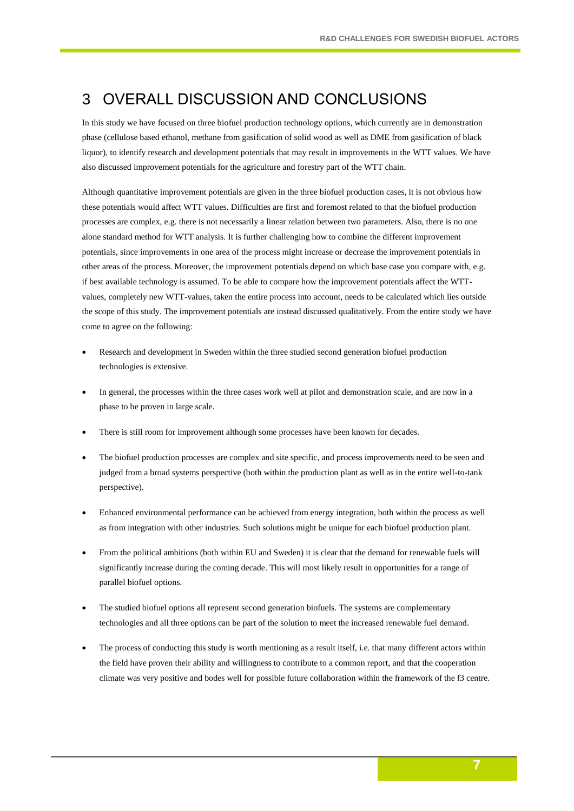# 3 OVERALL DISCUSSION AND CONCLUSIONS

In this study we have focused on three biofuel production technology options, which currently are in demonstration phase (cellulose based ethanol, methane from gasification of solid wood as well as DME from gasification of black liquor), to identify research and development potentials that may result in improvements in the WTT values. We have also discussed improvement potentials for the agriculture and forestry part of the WTT chain.

Although quantitative improvement potentials are given in the three biofuel production cases, it is not obvious how these potentials would affect WTT values. Difficulties are first and foremost related to that the biofuel production processes are complex, e.g. there is not necessarily a linear relation between two parameters. Also, there is no one alone standard method for WTT analysis. It is further challenging how to combine the different improvement potentials, since improvements in one area of the process might increase or decrease the improvement potentials in other areas of the process. Moreover, the improvement potentials depend on which base case you compare with, e.g. if best available technology is assumed. To be able to compare how the improvement potentials affect the WTTvalues, completely new WTT-values, taken the entire process into account, needs to be calculated which lies outside the scope of this study. The improvement potentials are instead discussed qualitatively. From the entire study we have come to agree on the following:

- Research and development in Sweden within the three studied second generation biofuel production technologies is extensive.
- In general, the processes within the three cases work well at pilot and demonstration scale, and are now in a phase to be proven in large scale.
- There is still room for improvement although some processes have been known for decades.
- The biofuel production processes are complex and site specific, and process improvements need to be seen and judged from a broad systems perspective (both within the production plant as well as in the entire well-to-tank perspective).
- Enhanced environmental performance can be achieved from energy integration, both within the process as well as from integration with other industries. Such solutions might be unique for each biofuel production plant.
- From the political ambitions (both within EU and Sweden) it is clear that the demand for renewable fuels will significantly increase during the coming decade. This will most likely result in opportunities for a range of parallel biofuel options.
- The studied biofuel options all represent second generation biofuels. The systems are complementary technologies and all three options can be part of the solution to meet the increased renewable fuel demand.
- The process of conducting this study is worth mentioning as a result itself, i.e. that many different actors within the field have proven their ability and willingness to contribute to a common report, and that the cooperation climate was very positive and bodes well for possible future collaboration within the framework of the f3 centre.